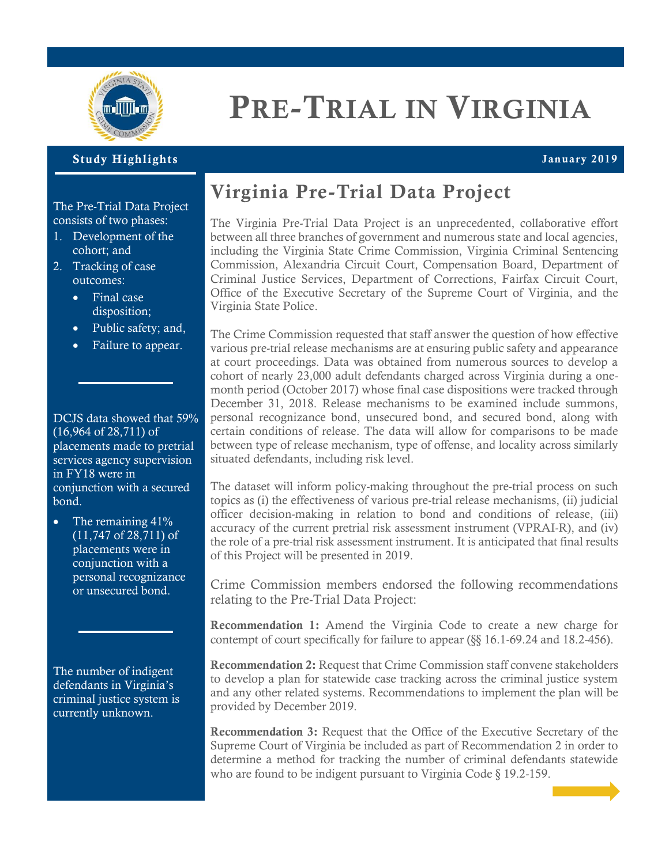

# **PRE-TRIAL IN VIRGINIA**

#### **Study Highlights January 201 9**

The Pre-Trial Data Project consists of two phases:

- 1. Development of the cohort; and
- 2. Tracking of case outcomes:
	- Final case disposition;
	- Public safety; and,
	- Failure to appear.

DCJS data showed that 59% (16,964 of 28,711) of placements made to pretrial services agency supervision in FY18 were in conjunction with a secured bond.

• The remaining  $41\%$ (11,747 of 28,711) of placements were in conjunction with a personal recognizance or unsecured bond.

The number of indigent defendants in Virginia's criminal justice system is currently unknown.

## **Virginia Pre-Trial Data Project**

The Virginia Pre-Trial Data Project is an unprecedented, collaborative effort between all three branches of government and numerous state and local agencies, including the Virginia State Crime Commission, Virginia Criminal Sentencing Commission, Alexandria Circuit Court, Compensation Board, Department of Criminal Justice Services, Department of Corrections, Fairfax Circuit Court, Office of the Executive Secretary of the Supreme Court of Virginia, and the Virginia State Police.

The Crime Commission requested that staff answer the question of how effective various pre-trial release mechanisms are at ensuring public safety and appearance at court proceedings. Data was obtained from numerous sources to develop a cohort of nearly 23,000 adult defendants charged across Virginia during a onemonth period (October 2017) whose final case dispositions were tracked through December 31, 2018. Release mechanisms to be examined include summons, personal recognizance bond, unsecured bond, and secured bond, along with certain conditions of release. The data will allow for comparisons to be made between type of release mechanism, type of offense, and locality across similarly situated defendants, including risk level.

The dataset will inform policy-making throughout the pre-trial process on such topics as (i) the effectiveness of various pre-trial release mechanisms, (ii) judicial officer decision-making in relation to bond and conditions of release, (iii) accuracy of the current pretrial risk assessment instrument (VPRAI-R), and (iv) the role of a pre-trial risk assessment instrument. It is anticipated that final results of this Project will be presented in 2019.

Crime Commission members endorsed the following recommendations relating to the Pre-Trial Data Project:

**Recommendation 1:** Amend the Virginia Code to create a new charge for contempt of court specifically for failure to appear  $(\&$  16.1-69.24 and 18.2-456).

**Recommendation 2:** Request that Crime Commission staff convene stakeholders to develop a plan for statewide case tracking across the criminal justice system and any other related systems. Recommendations to implement the plan will be provided by December 2019.

**Recommendation 3:** Request that the Office of the Executive Secretary of the Supreme Court of Virginia be included as part of Recommendation 2 in order to determine a method for tracking the number of criminal defendants statewide who are found to be indigent pursuant to Virginia Code § 19.2-159.